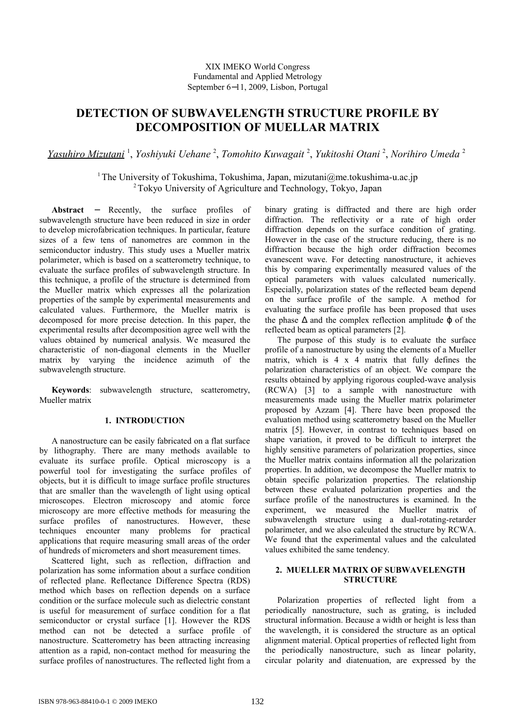# **DETECTION OF SUBWAVELENGTH STRUCTURE PROFILE BY DECOMPOSITION OF MUELLAR MATRIX**

*Yasuhiro Mizutani* <sup>1</sup> , *Yoshiyuki Uehane* <sup>2</sup> , *Tomohito Kuwagait* <sup>2</sup> , *Yukitoshi Otani* <sup>2</sup> , *Norihiro Umeda* <sup>2</sup>

<sup>1</sup>The University of Tokushima, Tokushima, Japan, mizutani $@$ me.tokushima-u.ac.jp <sup>2</sup>Tokyo University of Agriculture and Technology, Tokyo, Japan

**Abstract** − Recently, the surface profiles of subwavelength structure have been reduced in size in order to develop microfabrication techniques. In particular, feature sizes of a few tens of nanometres are common in the semiconductor industry. This study uses a Mueller matrix polarimeter, which is based on a scatterometry technique, to evaluate the surface profiles of subwavelength structure. In this technique, a profile of the structure is determined from the Mueller matrix which expresses all the polarization properties of the sample by experimental measurements and calculated values. Furthermore, the Mueller matrix is decomposed for more precise detection. In this paper, the experimental results after decomposition agree well with the values obtained by numerical analysis. We measured the characteristic of non-diagonal elements in the Mueller matrix by varying the incidence azimuth of the subwavelength structure.

**Keywords**: subwavelength structure, scatterometry, Mueller matrix

## **1. INTRODUCTION**

A nanostructure can be easily fabricated on a flat surface by lithography. There are many methods available to evaluate its surface profile. Optical microscopy is a powerful tool for investigating the surface profiles of objects, but it is difficult to image surface profile structures that are smaller than the wavelength of light using optical microscopes. Electron microscopy and atomic force microscopy are more effective methods for measuring the surface profiles of nanostructures. However, these techniques encounter many problems for practical applications that require measuring small areas of the order of hundreds of micrometers and short measurement times.

Scattered light, such as reflection, diffraction and polarization has some information about a surface condition of reflected plane. Reflectance Difference Spectra (RDS) method which bases on reflection depends on a surface condition or the surface molecule such as dielectric constant is useful for measurement of surface condition for a flat semiconductor or crystal surface [1]. However the RDS method can not be detected a surface profile of nanostructure. Scatterometry has been attracting increasing attention as a rapid, non-contact method for measuring the surface profiles of nanostructures. The reflected light from a

binary grating is diffracted and there are high order diffraction. The reflectivity or a rate of high order diffraction depends on the surface condition of grating. However in the case of the structure reducing, there is no diffraction because the high order diffraction becomes evanescent wave. For detecting nanostructure, it achieves this by comparing experimentally measured values of the optical parameters with values calculated numerically. Especially, polarization states of the reflected beam depend on the surface profile of the sample. A method for evaluating the surface profile has been proposed that uses the phase  $\Delta$  and the complex reflection amplitude  $\varphi$  of the reflected beam as optical parameters [2].

The purpose of this study is to evaluate the surface profile of a nanostructure by using the elements of a Mueller matrix, which is 4 x 4 matrix that fully defines the polarization characteristics of an object. We compare the results obtained by applying rigorous coupled-wave analysis (RCWA) [3] to a sample with nanostructure with measurements made using the Mueller matrix polarimeter proposed by Azzam [4]. There have been proposed the evaluation method using scatterometry based on the Mueller matrix [5]. However, in contrast to techniques based on shape variation, it proved to be difficult to interpret the highly sensitive parameters of polarization properties, since the Mueller matrix contains information all the polarization properties. In addition, we decompose the Mueller matrix to obtain specific polarization properties. The relationship between these evaluated polarization properties and the surface profile of the nanostructures is examined. In the experiment, we measured the Mueller matrix of subwavelength structure using a dual-rotating-retarder polarimeter, and we also calculated the structure by RCWA. We found that the experimental values and the calculated values exhibited the same tendency.

## **2. MUELLER MATRIX OF SUBWAVELENGTH STRUCTURE**

Polarization properties of reflected light from a periodically nanostructure, such as grating, is included structural information. Because a width or height is less than the wavelength, it is considered the structure as an optical alignment material. Optical properties of reflected light from the periodically nanostructure, such as linear polarity, circular polarity and diatenuation, are expressed by the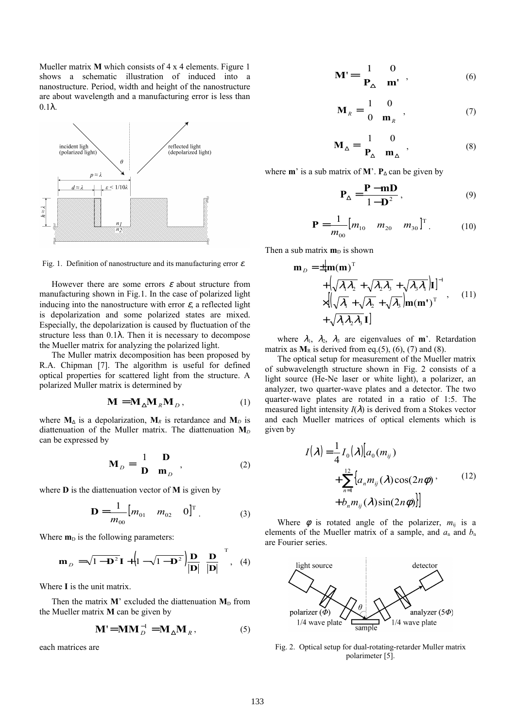Mueller matrix **M** which consists of 4 x 4 elements. Figure 1 shows a schematic illustration of induced into a nanostructure. Period, width and height of the nanostructure are about wavelength and a manufacturing error is less than  $0.1λ$ .



Fig. 1. Definition of nanostructure and its manufacturing error  $\varepsilon$ .

However there are some errors  $\varepsilon$  about structure from manufacturing shown in Fig.1. In the case of polarized light inducing into the nanostructure with error  $\varepsilon$ , a reflected light is depolarization and some polarized states are mixed. Especially, the depolarization is caused by fluctuation of the structure less than 0.1λ. Then it is necessary to decompose the Mueller matrix for analyzing the polarized light.

The Muller matrix decomposition has been proposed by R.A. Chipman [7]. The algorithm is useful for defined optical properties for scattered light from the structure. A polarized Muller matrix is determined by

$$
\mathbf{M} = \mathbf{M}_{\Delta} \mathbf{M}_{R} \mathbf{M}_{D}, \tag{1}
$$

where  $M_{\Delta}$  is a depolarization,  $M_R$  is retardance and  $M_D$  is diattenuation of the Muller matrix. The diattenuation  $M<sub>D</sub>$ can be expressed by

$$
\mathbf{M}_D = \begin{pmatrix} 1 & \mathbf{D} \\ \mathbf{D} & \mathbf{m}_D \end{pmatrix},\tag{2}
$$

where **D** is the diattenuation vector of **M** is given by

$$
\mathbf{D} = \frac{1}{m_{00}} [m_{01} \quad m_{02} \quad 0]^\mathrm{T} . \tag{3}
$$

Where  $m<sub>D</sub>$  is the following parameters:

$$
\mathbf{m}_D = \sqrt{1 - \mathbf{D}^2} \mathbf{I} + \left(1 - \sqrt{1 - \mathbf{D}^2}\right) \frac{\mathbf{D}}{|\mathbf{D}|} \left(\frac{\mathbf{D}}{|\mathbf{D}|}\right)^{\mathrm{T}}, \quad (4)
$$

Where **I** is the unit matrix.

Then the matrix  $M'$  excluded the diattenuation  $M_D$  from the Mueller matrix **M** can be given by

$$
\mathbf{M}^{\prime} = \mathbf{M}\mathbf{M}_{D}^{-1} = \mathbf{M}_{\Delta}\mathbf{M}_{R},
$$
 (5)

each matrices are

$$
\mathbf{M}' = \begin{bmatrix} 1 & 0 \\ \mathbf{P}_{\Delta} & \mathbf{m}' \end{bmatrix}, \tag{6}
$$

$$
\mathbf{M}_R = \begin{bmatrix} 1 & 0 \\ 0 & \mathbf{m}_R \end{bmatrix},\tag{7}
$$

$$
\mathbf{M}_{\Delta} = \begin{bmatrix} 1 & 0 \\ \mathbf{P}_{\Delta} & \mathbf{m}_{\Delta} \end{bmatrix}, \tag{8}
$$

where **m**' is a sub matrix of **M**'. **P** $\Lambda$  can be given by

$$
\mathbf{P}_{\Delta} = \frac{\mathbf{P} - \mathbf{mD}}{1 - \mathbf{D}^2},\tag{9}
$$

$$
\mathbf{P} = \frac{1}{m_{00}} [m_{10} \quad m_{20} \quad m_{30}]^{\mathrm{T}}.
$$
 (10)

Then a sub matrix  $\mathbf{m}_D$  is shown

$$
\mathbf{m}_{D} = \pm [\mathbf{m}(\mathbf{m})^{\mathrm{T}} \n+ \left( \sqrt{\lambda_{1} \lambda_{2}} + \sqrt{\lambda_{2} \lambda_{3}} + \sqrt{\lambda_{3} \lambda_{1}} \right) \mathbf{I} \right]^{-1} \n\times \left[ \left( \sqrt{\lambda_{1}} + \sqrt{\lambda_{2}} + \sqrt{\lambda_{3}} \right) \mathbf{m}(\mathbf{m}^{*})^{\mathrm{T}} , \qquad (11) \n+ \sqrt{\lambda_{1} \lambda_{2} \lambda_{3}} \mathbf{I} \right]
$$

where  $\lambda_1$ ,  $\lambda_2$ ,  $\lambda_3$  are eigenvalues of **m**'. Retardation matrix as  $M_R$  is derived from eq.(5), (6), (7) and (8).

The optical setup for measurement of the Mueller matrix of subwavelength structure shown in Fig. 2 consists of a light source (He-Ne laser or white light), a polarizer, an analyzer, two quarter-wave plates and a detector. The two quarter-wave plates are rotated in a ratio of 1:5. The measured light intensity  $I(\lambda)$  is derived from a Stokes vector and each Mueller matrices of optical elements which is given by

$$
I(\lambda) = \frac{1}{4} I_0(\lambda) [a_0(m_{ij})
$$
  
+ 
$$
\sum_{n=1}^{12} \{a_n m_{ij}(\lambda) \cos(2n\phi) \}
$$
  
+ 
$$
b_n m_{ij}(\lambda) \sin(2n\phi)]
$$
 (12)

Where  $\phi$  is rotated angle of the polarizer,  $m_{ij}$  is a elements of the Mueller matrix of a sample, and  $a_n$  and  $b_n$ are Fourier series.



Fig. 2. Optical setup for dual-rotating-retarder Muller matrix polarimeter [5].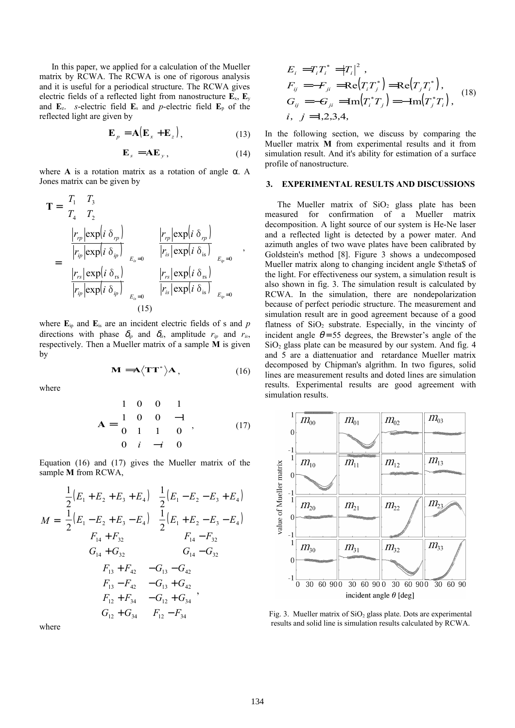In this paper, we applied for a calculation of the Mueller matrix by RCWA. The RCWA is one of rigorous analysis and it is useful for a periodical structure. The RCWA gives electric fields of a reflected light from nanostructure **E**x, **E**<sup>y</sup> and  $\mathbf{E}_z$ . *s*-electric field  $\mathbf{E}_s$  and *p*-electric field  $\mathbf{E}_p$  of the reflected light are given by

$$
\mathbf{E}_p = \mathbf{A} (\mathbf{E}_x + \mathbf{E}_z), \tag{13}
$$

$$
\mathbf{E}_s = \mathbf{A}\mathbf{E}_y, \tag{14}
$$

where **A** is a rotation matrix as a rotation of angle  $\alpha$ . A Jones matrix can be given by

$$
\mathbf{T} = \begin{bmatrix} T_1 & T_3 \\ T_4 & T_2 \end{bmatrix}
$$
  
\n
$$
= \begin{bmatrix} \boxed{r_p \exp(i \ \delta_{rp})} \\ \boxed{r_p \exp(i \ \delta_{ip})} \\ \boxed{r_s \exp(i \ \delta_{is})} \\ \boxed{r_p \exp(i \ \delta_{ip})} \end{bmatrix}_{E_s=0} \begin{bmatrix} \boxed{r_p \exp(i \ \delta_{rp})} \\ \boxed{r_k \exp(i \ \delta_{is})} \\ \boxed{r_s \exp(i \ \delta_{is})} \\ \boxed{r_p \exp(i \ \delta_{ip})} \end{bmatrix}_{E_p=0} \begin{bmatrix} \boxed{r_s \exp(i \ \delta_{is})} \\ \boxed{r_k \exp(i \ \delta_{is})} \\ \boxed{r_k \exp(i \ \delta_{is})} \end{bmatrix}_{E_p=0} \end{bmatrix},
$$
\n(15)

where  $\mathbf{E}_{ip}$  and  $\mathbf{E}_{is}$  are an incident electric fields of s and *p* directions with phase  $\delta_{ip}$  and  $\delta_{is}$ , amplitude  $r_{ip}$  and  $r_{is}$ , respectively. Then a Mueller matrix of a sample **M** is given by

$$
\mathbf{M} = \mathbf{A} \langle \mathbf{T} \mathbf{T}^* \rangle \mathbf{A}, \qquad (16)
$$

where

$$
\mathbf{A} = \begin{bmatrix} 1 & 0 & 0 & 1 \\ 1 & 0 & 0 & -1 \\ 0 & 1 & 1 & 0 \\ 0 & i & -i & 0 \end{bmatrix}, \quad (17)
$$

Equation (16) and (17) gives the Mueller matrix of the sample **M** from RCWA,

$$
M = \begin{bmatrix} \frac{1}{2}(E_1 + E_2 + E_3 + E_4) & \frac{1}{2}(E_1 - E_2 - E_3 + E_4) \\ \frac{1}{2}(E_1 - E_2 + E_3 - E_4) & \frac{1}{2}(E_1 + E_2 - E_3 - E_4) \\ F_{14} + F_{32} & F_{14} - F_{32} \\ G_{14} + G_{32} & G_{14} - G_{32} \\ F_{13} + F_{42} & -G_{13} - G_{42} \\ F_{13} - F_{42} & -G_{13} + G_{42} \\ F_{12} + F_{34} & -G_{12} + G_{34} \\ G_{12} + G_{34} & F_{12} - F_{34} \end{bmatrix},
$$

where

$$
E_i = T_i T_i^* = |T_i|^2,
$$
  
\n
$$
F_{ij} = -F_{ji} = \text{Re}(T_i T_j^*) = \text{Re}(T_j T_i^*),
$$
  
\n
$$
G_{ij} = -G_{ji} = \text{Im}(T_i^* T_j) = -\text{Im}(T_j^* T_i),
$$
  
\n
$$
i, j = 1, 2, 3, 4,
$$
\n(18)

In the following section, we discuss by comparing the Mueller matrix **M** from experimental results and it from simulation result. And it's ability for estimation of a surface profile of nanostructure.

#### **3. EXPERIMENTAL RESULTS AND DISCUSSIONS**

The Mueller matrix of  $SiO<sub>2</sub>$  glass plate has been measured for confirmation of a Mueller matrix decomposition. A light source of our system is He-Ne laser and a reflected light is detected by a power mater. And azimuth angles of two wave plates have been calibrated by Goldstein's method [8]. Figure 3 shows a undecomposed Mueller matrix along to changing incident angle \$\theta\$ of the light. For effectiveness our system, a simulation result is also shown in fig. 3. The simulation result is calculated by RCWA. In the simulation, there are nondepolarization because of perfect periodic structure. The measurement and simulation result are in good agreement because of a good flatness of  $SiO<sub>2</sub>$  substrate. Especially, in the vincinty of incident angle  $\theta$  = 55 degrees, the Brewster's angle of the  $SiO<sub>2</sub>$  glass plate can be measured by our system. And fig. 4 and 5 are a diattenuatior and retardance Mueller matrix decomposed by Chipman's algrithm. In two figures, solid lines are measurement results and doted lines are simulation results. Experimental results are good agreement with simulation results.



Fig. 3. Mueller matrix of  $SiO<sub>2</sub>$  glass plate. Dots are experimental results and solid line is simulation results calculated by RCWA.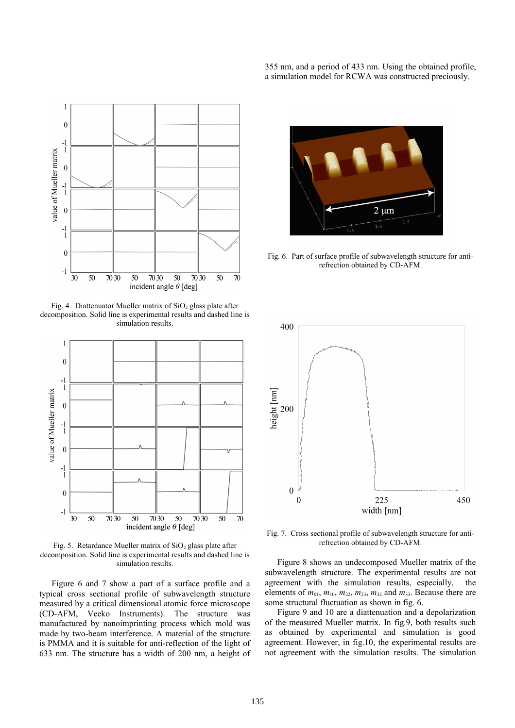

Fig. 4. Diattenuator Mueller matrix of  $SiO<sub>2</sub>$  glass plate after decomposition. Solid line is experimental results and dashed line is simulation results.



Fig. 5. Retardance Mueller matrix of  $SiO<sub>2</sub>$  glass plate after decomposition. Solid line is experimental results and dashed line is simulation results.

Figure 6 and 7 show a part of a surface profile and a typical cross sectional profile of subwavelength structure measured by a critical dimensional atomic force microscope (CD-AFM, Veeko Instruments). The structure was manufactured by nanoimprinting process which mold was made by two-beam interference. A material of the structure is PMMA and it is suitable for anti-reflection of the light of 633 nm. The structure has a width of 200 nm, a height of 355 nm, and a period of 433 nm. Using the obtained profile, a simulation model for RCWA was constructed preciously.



Fig. 6. Part of surface profile of subwavelength structure for antirefrection obtained by CD-AFM.



Fig. 7. Cross sectional profile of subwavelength structure for antirefrection obtained by CD-AFM.

Figure 8 shows an undecomposed Mueller matrix of the subwavelength structure. The experimental results are not agreement with the simulation results, especially, the elements of  $m_{01}$ ,  $m_{10}$ ,  $m_{22}$ ,  $m_{23}$ ,  $m_{32}$  and  $m_{33}$ . Because there are some structural fluctuation as shown in fig. 6.

Figure 9 and 10 are a diattenuation and a depolarization of the measured Mueller matrix. In fig.9, both results such as obtained by experimental and simulation is good agreement. However, in fig.10, the experimental results are not agreement with the simulation results. The simulation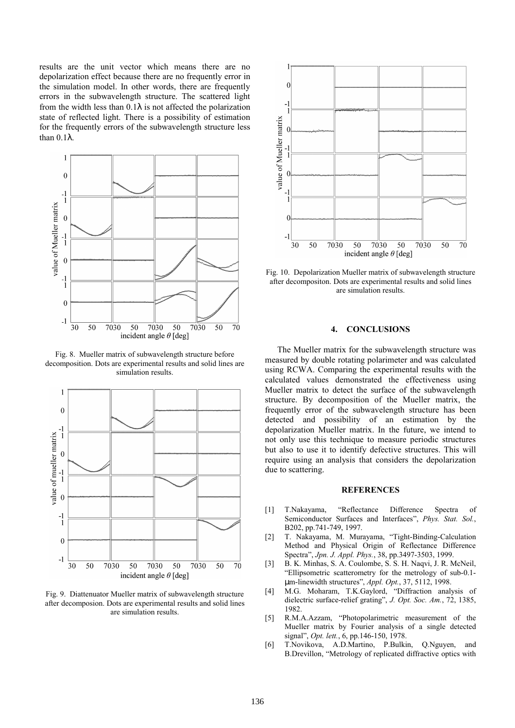results are the unit vector which means there are no depolarization effect because there are no frequently error in the simulation model. In other words, there are frequently errors in the subwavelength structure. The scattered light from the width less than  $0.1\lambda$  is not affected the polarization state of reflected light. There is a possibility of estimation for the frequently errors of the subwavelength structure less than 0.1λ.



Fig. 8. Mueller matrix of subwavelength structure before decomposition. Dots are experimental results and solid lines are simulation results.



Fig. 9. Diattenuator Mueller matrix of subwavelength structure after decomposion. Dots are experimental results and solid lines are simulation results.



Fig. 10. Depolarization Mueller matrix of subwavelength structure after decompositon. Dots are experimental results and solid lines are simulation results.

## **4. CONCLUSIONS**

The Mueller matrix for the subwavelength structure was measured by double rotating polarimeter and was calculated using RCWA. Comparing the experimental results with the calculated values demonstrated the effectiveness using Mueller matrix to detect the surface of the subwavelength structure. By decomposition of the Mueller matrix, the frequently error of the subwavelength structure has been detected and possibility of an estimation by the depolarization Mueller matrix. In the future, we intend to not only use this technique to measure periodic structures but also to use it to identify defective structures. This will require using an analysis that considers the depolarization due to scattering.

#### **REFERENCES**

- [1] T.Nakayama, "Reflectance Difference Spectra of Semiconductor Surfaces and Interfaces", *Phys. Stat. Sol.*, B202, pp.741-749, 1997.
- [2] T. Nakayama, M. Murayama, "Tight-Binding-Calculation Method and Physical Origin of Reflectance Difference Spectra", *Jpn. J. Appl. Phys.*, 38, pp.3497-3503, 1999.
- [3] B. K. Minhas, S. A. Coulombe, S. S. H. Naqvi, J. R. McNeil, "Ellipsometric scatterometry for the metrology of sub-0.1 µm-linewidth structures", *Appl. Opt.*, 37, 5112, 1998.
- [4] M.G. Moharam, T.K.Gaylord, "Diffraction analysis of dielectric surface-relief grating", *J. Opt. Soc. Am.*, 72, 1385, 1982.
- [5] R.M.A.Azzam, "Photopolarimetric measurement of the Mueller matrix by Fourier analysis of a single detected signal", *Opt. lett.*, 6, pp.146-150, 1978.
- [6] T.Novikova, A.D.Martino, P.Bulkin, Q.Nguyen, and B.Drevillon, "Metrology of replicated diffractive optics with